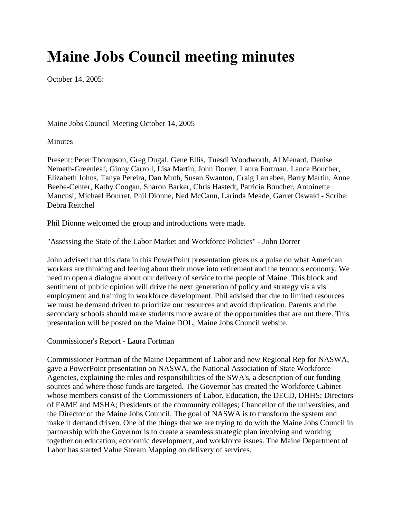## **Maine Jobs Council meeting minutes**

October 14, 2005:

Maine Jobs Council Meeting October 14, 2005

Minutes

Present: Peter Thompson, Greg Dugal, Gene Ellis, Tuesdi Woodworth, Al Menard, Denise Nemeth-Greenleaf, Ginny Carroll, Lisa Martin, John Dorrer, Laura Fortman, Lance Boucher, Elizabeth Johns, Tanya Pereira, Dan Muth, Susan Swanton, Craig Larrabee, Barry Martin, Anne Beebe-Center, Kathy Coogan, Sharon Barker, Chris Hastedt, Patricia Boucher, Antoinette Mancusi, Michael Bourret, Phil Dionne, Ned McCann, Larinda Meade, Garret Oswald - Scribe: Debra Reitchel

Phil Dionne welcomed the group and introductions were made.

"Assessing the State of the Labor Market and Workforce Policies" - John Dorrer

John advised that this data in this PowerPoint presentation gives us a pulse on what American workers are thinking and feeling about their move into retirement and the tenuous economy. We need to open a dialogue about our delivery of service to the people of Maine. This block and sentiment of public opinion will drive the next generation of policy and strategy vis a vis employment and training in workforce development. Phil advised that due to limited resources we must be demand driven to prioritize our resources and avoid duplication. Parents and the secondary schools should make students more aware of the opportunities that are out there. This presentation will be posted on the Maine DOL, Maine Jobs Council website.

Commissioner's Report - Laura Fortman

Commissioner Fortman of the Maine Department of Labor and new Regional Rep for NASWA, gave a PowerPoint presentation on NASWA, the National Association of State Workforce Agencies, explaining the roles and responsibilities of the SWA's, a description of our funding sources and where those funds are targeted. The Governor has created the Workforce Cabinet whose members consist of the Commissioners of Labor, Education, the DECD, DHHS; Directors of FAME and MSHA; Presidents of the community colleges; Chancellor of the universities, and the Director of the Maine Jobs Council. The goal of NASWA is to transform the system and make it demand driven. One of the things that we are trying to do with the Maine Jobs Council in partnership with the Governor is to create a seamless strategic plan involving and working together on education, economic development, and workforce issues. The Maine Department of Labor has started Value Stream Mapping on delivery of services.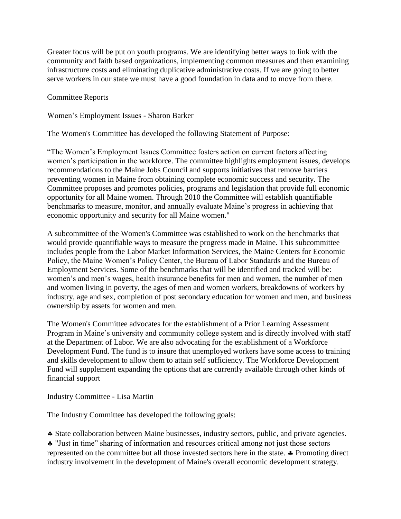Greater focus will be put on youth programs. We are identifying better ways to link with the community and faith based organizations, implementing common measures and then examining infrastructure costs and eliminating duplicative administrative costs. If we are going to better serve workers in our state we must have a good foundation in data and to move from there.

Committee Reports

Women's Employment Issues - Sharon Barker

The Women's Committee has developed the following Statement of Purpose:

"The Women's Employment Issues Committee fosters action on current factors affecting women's participation in the workforce. The committee highlights employment issues, develops recommendations to the Maine Jobs Council and supports initiatives that remove barriers preventing women in Maine from obtaining complete economic success and security. The Committee proposes and promotes policies, programs and legislation that provide full economic opportunity for all Maine women. Through 2010 the Committee will establish quantifiable benchmarks to measure, monitor, and annually evaluate Maine's progress in achieving that economic opportunity and security for all Maine women."

A subcommittee of the Women's Committee was established to work on the benchmarks that would provide quantifiable ways to measure the progress made in Maine. This subcommittee includes people from the Labor Market Information Services, the Maine Centers for Economic Policy, the Maine Women's Policy Center, the Bureau of Labor Standards and the Bureau of Employment Services. Some of the benchmarks that will be identified and tracked will be: women's and men's wages, health insurance benefits for men and women, the number of men and women living in poverty, the ages of men and women workers, breakdowns of workers by industry, age and sex, completion of post secondary education for women and men, and business ownership by assets for women and men.

The Women's Committee advocates for the establishment of a Prior Learning Assessment Program in Maine's university and community college system and is directly involved with staff at the Department of Labor. We are also advocating for the establishment of a Workforce Development Fund. The fund is to insure that unemployed workers have some access to training and skills development to allow them to attain self sufficiency. The Workforce Development Fund will supplement expanding the options that are currently available through other kinds of financial support

Industry Committee - Lisa Martin

The Industry Committee has developed the following goals:

State collaboration between Maine businesses, industry sectors, public, and private agencies.

 "Just in time" sharing of information and resources critical among not just those sectors represented on the committee but all those invested sectors here in the state.  $\clubsuit$  Promoting direct industry involvement in the development of Maine's overall economic development strategy.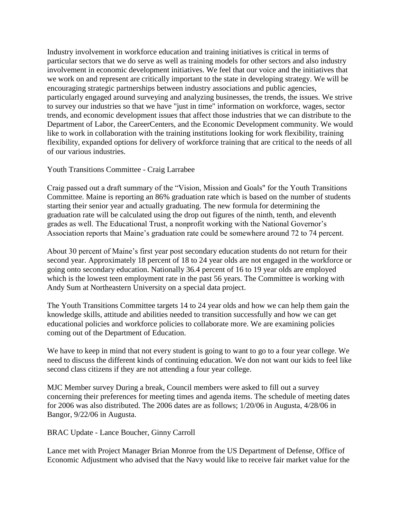Industry involvement in workforce education and training initiatives is critical in terms of particular sectors that we do serve as well as training models for other sectors and also industry involvement in economic development initiatives. We feel that our voice and the initiatives that we work on and represent are critically important to the state in developing strategy. We will be encouraging strategic partnerships between industry associations and public agencies, particularly engaged around surveying and analyzing businesses, the trends, the issues. We strive to survey our industries so that we have "just in time" information on workforce, wages, sector trends, and economic development issues that affect those industries that we can distribute to the Department of Labor, the CareerCenters, and the Economic Development community. We would like to work in collaboration with the training institutions looking for work flexibility, training flexibility, expanded options for delivery of workforce training that are critical to the needs of all of our various industries.

Youth Transitions Committee - Craig Larrabee

Craig passed out a draft summary of the "Vision, Mission and Goals" for the Youth Transitions Committee. Maine is reporting an 86% graduation rate which is based on the number of students starting their senior year and actually graduating. The new formula for determining the graduation rate will be calculated using the drop out figures of the ninth, tenth, and eleventh grades as well. The Educational Trust, a nonprofit working with the National Governor's Association reports that Maine's graduation rate could be somewhere around 72 to 74 percent.

About 30 percent of Maine's first year post secondary education students do not return for their second year. Approximately 18 percent of 18 to 24 year olds are not engaged in the workforce or going onto secondary education. Nationally 36.4 percent of 16 to 19 year olds are employed which is the lowest teen employment rate in the past 56 years. The Committee is working with Andy Sum at Northeastern University on a special data project.

The Youth Transitions Committee targets 14 to 24 year olds and how we can help them gain the knowledge skills, attitude and abilities needed to transition successfully and how we can get educational policies and workforce policies to collaborate more. We are examining policies coming out of the Department of Education.

We have to keep in mind that not every student is going to want to go to a four year college. We need to discuss the different kinds of continuing education. We don not want our kids to feel like second class citizens if they are not attending a four year college.

MJC Member survey During a break, Council members were asked to fill out a survey concerning their preferences for meeting times and agenda items. The schedule of meeting dates for 2006 was also distributed. The 2006 dates are as follows; 1/20/06 in Augusta, 4/28/06 in Bangor, 9/22/06 in Augusta.

BRAC Update - Lance Boucher, Ginny Carroll

Lance met with Project Manager Brian Monroe from the US Department of Defense, Office of Economic Adjustment who advised that the Navy would like to receive fair market value for the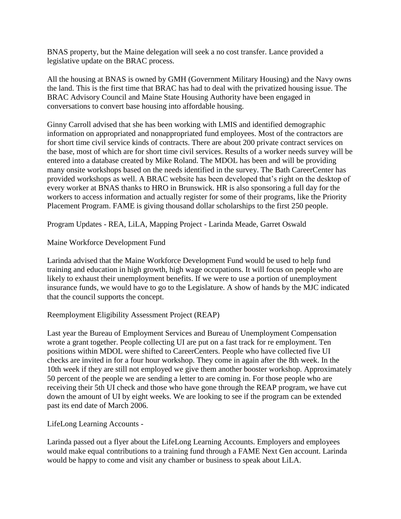BNAS property, but the Maine delegation will seek a no cost transfer. Lance provided a legislative update on the BRAC process.

All the housing at BNAS is owned by GMH (Government Military Housing) and the Navy owns the land. This is the first time that BRAC has had to deal with the privatized housing issue. The BRAC Advisory Council and Maine State Housing Authority have been engaged in conversations to convert base housing into affordable housing.

Ginny Carroll advised that she has been working with LMIS and identified demographic information on appropriated and nonappropriated fund employees. Most of the contractors are for short time civil service kinds of contracts. There are about 200 private contract services on the base, most of which are for short time civil services. Results of a worker needs survey will be entered into a database created by Mike Roland. The MDOL has been and will be providing many onsite workshops based on the needs identified in the survey. The Bath CareerCenter has provided workshops as well. A BRAC website has been developed that's right on the desktop of every worker at BNAS thanks to HRO in Brunswick. HR is also sponsoring a full day for the workers to access information and actually register for some of their programs, like the Priority Placement Program. FAME is giving thousand dollar scholarships to the first 250 people.

Program Updates - REA, LiLA, Mapping Project - Larinda Meade, Garret Oswald

Maine Workforce Development Fund

Larinda advised that the Maine Workforce Development Fund would be used to help fund training and education in high growth, high wage occupations. It will focus on people who are likely to exhaust their unemployment benefits. If we were to use a portion of unemployment insurance funds, we would have to go to the Legislature. A show of hands by the MJC indicated that the council supports the concept.

## Reemployment Eligibility Assessment Project (REAP)

Last year the Bureau of Employment Services and Bureau of Unemployment Compensation wrote a grant together. People collecting UI are put on a fast track for re employment. Ten positions within MDOL were shifted to CareerCenters. People who have collected five UI checks are invited in for a four hour workshop. They come in again after the 8th week. In the 10th week if they are still not employed we give them another booster workshop. Approximately 50 percent of the people we are sending a letter to are coming in. For those people who are receiving their 5th UI check and those who have gone through the REAP program, we have cut down the amount of UI by eight weeks. We are looking to see if the program can be extended past its end date of March 2006.

LifeLong Learning Accounts -

Larinda passed out a flyer about the LifeLong Learning Accounts. Employers and employees would make equal contributions to a training fund through a FAME Next Gen account. Larinda would be happy to come and visit any chamber or business to speak about LiLA.